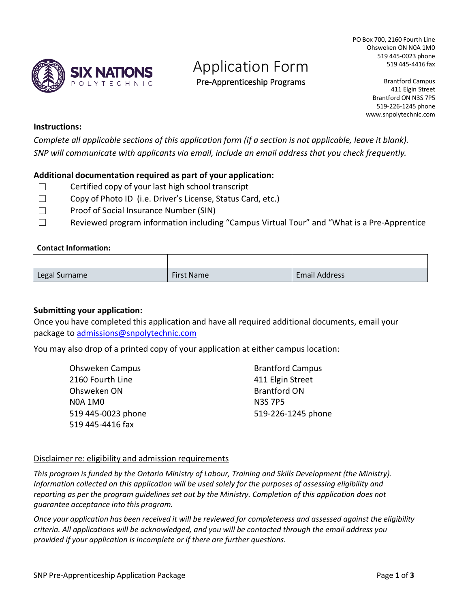

# Application Form

Pre-Apprenticeship Programs

PO Box 700, 2160 Fourth Line Ohsweken ON N0A 1M0 519 445-0023 phone 519 445-4416 fax

> Brantford Campus 411 Elgin Street Brantford ON N3S 7P5 519-226-1245 phone [www.snpolytechnic.com](http://www.snpolytechnic.com/)

#### **Instructions:**

*Complete all applicable sections of this application form (if a section is not applicable, leave it blank). SNP will communicate with applicants via email, include an email address that you check frequently.*

#### **Additional documentation required as part of your application:**

- $\Box$  Certified copy of your last high school transcript
- ☐ Copy of Photo ID (i.e. Driver's License, Status Card, etc.)
- ☐ Proof of Social Insurance Number (SIN)
- ☐ Reviewed program information including "Campus Virtual Tour" and "What is a Pre-Apprentice

#### **Contact Information:**

| Legal Surname | <b>First Name</b> | <b>Email Address</b> |
|---------------|-------------------|----------------------|

#### **Submitting your application:**

Once you have completed this application and have all required additional documents, email your package to [admissions@snpolytechnic.com](mailto:admissions@snpolytechnic.com)

You may also drop of a printed copy of your application at either campus location:

| <b>Ohsweken Campus</b> | <b>Brantford Campus</b> |
|------------------------|-------------------------|
| 2160 Fourth Line       | 411 Elgin Street        |
| Ohsweken ON            | <b>Brantford ON</b>     |
| <b>N0A 1M0</b>         | <b>N3S 7P5</b>          |
| 519 445-0023 phone     | 519-226-1245 phone      |
| 519 445-4416 fax       |                         |

#### Disclaimer re: eligibility and admission requirements

*This program is funded by the Ontario Ministry of Labour, Training and Skills Development (the Ministry). Information collected on this application will be used solely for the purposes of assessing eligibility and reporting as per the program guidelines set out by the Ministry. Completion of this application does not guarantee acceptance into this program.* 

*Once your application has been received it will be reviewed for completeness and assessed against the eligibility criteria. All applications will be acknowledged, and you will be contacted through the email address you provided if your application is incomplete or if there are further questions.*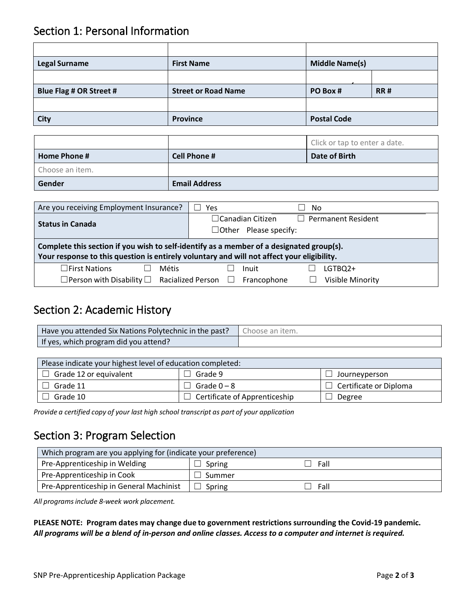### Section 1: Personal Information

| <b>Legal Surname</b>    | <b>First Name</b>          | <b>Middle Name(s)</b> |            |
|-------------------------|----------------------------|-----------------------|------------|
|                         |                            |                       |            |
| Blue Flag # OR Street # | <b>Street or Road Name</b> | PO Box #              | <b>RR#</b> |
|                         |                            |                       |            |
| City                    | <b>Province</b>            | <b>Postal Code</b>    |            |

|                 |                      | Click or tap to enter a date. |
|-----------------|----------------------|-------------------------------|
| Home Phone #    | <b>Cell Phone #</b>  | Date of Birth                 |
| Choose an item. |                      |                               |
| Gender          | <b>Email Address</b> |                               |

| Are you receiving Employment Insurance?                                                                                                                                                | Yes                                                                                  | No                      |  |
|----------------------------------------------------------------------------------------------------------------------------------------------------------------------------------------|--------------------------------------------------------------------------------------|-------------------------|--|
| <b>Status in Canada</b>                                                                                                                                                                | $\Box$ Permanent Resident<br>$\Box$ Canadian Citizen<br>$\Box$ Other Please specify: |                         |  |
| Complete this section if you wish to self-identify as a member of a designated group(s).<br>Your response to this question is entirely voluntary and will not affect your eligibility. |                                                                                      |                         |  |
| $\Box$ First Nations<br><b>Métis</b>                                                                                                                                                   | Inuit                                                                                | LGTBQ2+                 |  |
| $\Box$ Person with Disability $\Box$ Racialized Person $\Box$                                                                                                                          | Francophone                                                                          | <b>Visible Minority</b> |  |

### Section 2: Academic History

| Have you attended Six Nations Polytechnic in the past? | Choose an item. |
|--------------------------------------------------------|-----------------|
| If yes, which program did you attend?                  |                 |

| Please indicate your highest level of education completed: |                                      |                               |  |
|------------------------------------------------------------|--------------------------------------|-------------------------------|--|
| Grade 12 or equivalent                                     | 'Grade 9                             | Journeyperson                 |  |
| Grade 11                                                   | ]Grade 0 – 8                         | $\Box$ Certificate or Diploma |  |
| Grade 10                                                   | $\Box$ Certificate of Apprenticeship | Degree                        |  |

*Provide a certified copy of your last high school transcript as part of your application*

### Section 3: Program Selection

| Which program are you applying for (indicate your preference) |        |      |  |
|---------------------------------------------------------------|--------|------|--|
| Pre-Apprenticeship in Welding                                 | Spring | Fall |  |
| Pre-Apprenticeship in Cook                                    | Summer |      |  |
| Pre-Apprenticeship in General Machinist                       | Spring | Fall |  |

*All programs include 8-week work placement.*

**PLEASE NOTE: Program dates may change due to government restrictions surrounding the Covid-19 pandemic.** *All programs will be a blend of in-person and online classes. Access to a computer and internet is required.*